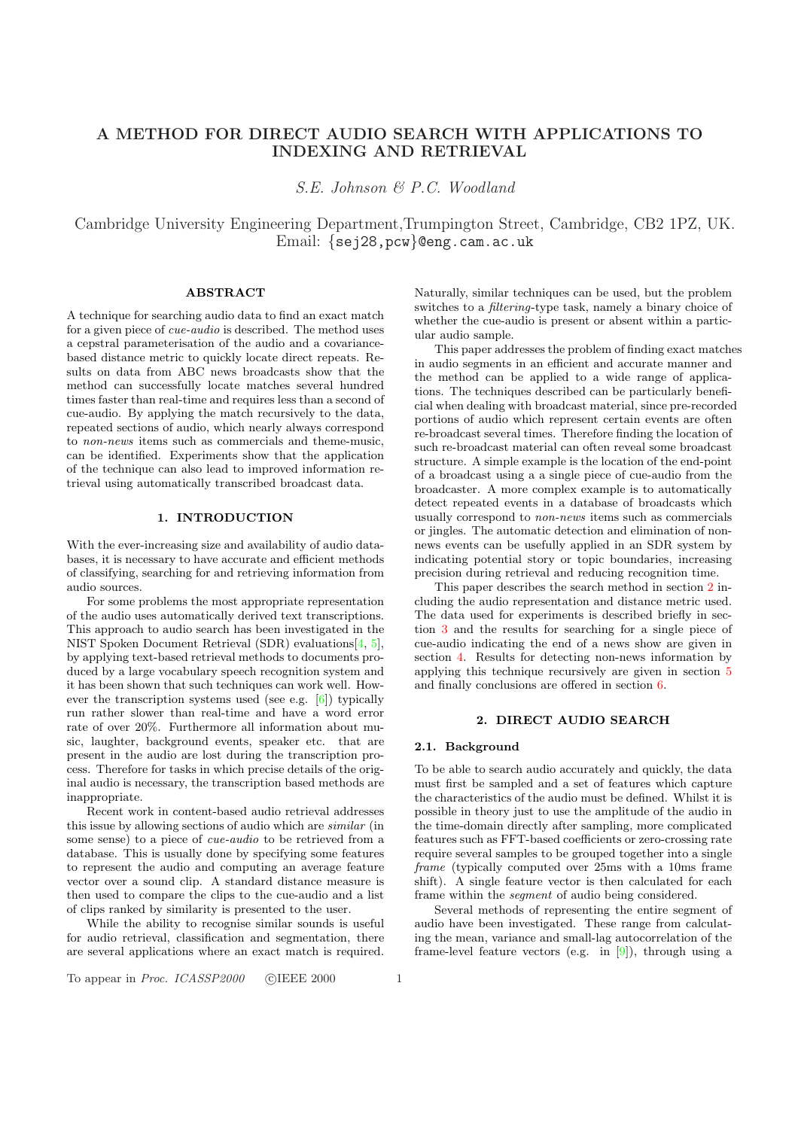# <span id="page-0-0"></span>A METHOD FOR DIRECT AUDIO SEARCH WITH APPLICATIONS TO INDEXING AND RETRIEVAL

S.E. Johnson & P.C. Woodland

Cambridge University Engineering Department,Trumpington Street, Cambridge, CB2 1PZ, UK. Email: {sej28,pcw}@eng.cam.ac.uk

### ABSTRACT

A technique for searching audio data to find an exact match for a given piece of cue-audio is described. The method uses a cepstral parameterisation of the audio and a covariancebased distance metric to quickly locate direct repeats. Results on data from ABC news broadcasts show that the method can successfully locate matches several hundred times faster than real-time and requires less than a second of cue-audio. By applying the match recursively to the data, repeated sections of audio, which nearly always correspond to non-news items such as commercials and theme-music, can be identified. Experiments show that the application of the technique can also lead to improved information retrieval using automatically transcribed broadcast data.

## 1. INTRODUCTION

With the ever-increasing size and availability of audio databases, it is necessary to have accurate and efficient methods of classifying, searching for and retrieving information from audio sources.

For some problems the most appropriate representation of the audio uses automatically derived text transcriptions. This approach to audio search has been investigated in the NIST Spoken Document Retrieval (SDR) evaluations[4, 5], by applying text-based retrieval methods to documents produced by a large vocabulary speech recognition system and it has been shown that such techniques can work well. However the transcription systems used (see e.g. [6]) typically run rather slower than real-time and have a word [erro](#page-3-0)r rate of over 20%. Furthermore all information about music, laughter, background events, speaker etc. that are present in the audio are lost during the transcription process. Therefore for tasks in which precise detail[s o](#page-3-0)f the original audio is necessary, the transcription based methods are inappropriate.

Recent work in content-based audio retrieval addresses this issue by allowing sections of audio which are similar (in some sense) to a piece of cue-audio to be retrieved from a database. This is usually done by specifying some features to represent the audio and computing an average feature vector over a sound clip. A standard distance measure is then used to compare the clips to the cue-audio and a list of clips ranked by similarity is presented to the user.

While the ability to recognise similar sounds is useful for audio retrieval, classification and segmentation, there are several applications where an exact match is required.

Naturally, similar techniques can be used, but the problem switches to a *filtering*-type task, namely a binary choice of whether the cue-audio is present or absent within a particular audio sample.

This paper addresses the problem of finding exact matches in audio segments in an efficient and accurate manner and the method can be applied to a wide range of applications. The techniques described can be particularly beneficial when dealing with broadcast material, since pre-recorded portions of audio which represent certain events are often re-broadcast several times. Therefore finding the location of such re-broadcast material can often reveal some broadcast structure. A simple example is the location of the end-point of a broadcast using a a single piece of cue-audio from the broadcaster. A more complex example is to automatically detect repeated events in a database of broadcasts which usually correspond to non-news items such as commercials or jingles. The automatic detection and elimination of nonnews events can be usefully applied in an SDR system by indicating potential story or topic boundaries, increasing precision during retrieval and reducing recognition time.

This paper describes the search method in section 2 including the audio representation and distance metric used. The data used for experiments is described briefly in section 3 and the results for searching for a single piece of cue-audio indicating the end of a news show are given in section 4. Results for detecting non-news information by applying this technique recursively are given in section 5 and [fin](#page-1-0)ally conclusions are offered in section 6.

## 2. DIRECT AUDIO SEARCH

#### 2.1. Background

To be able to search audio accurately and quickly, the data must first be sampled and a set of features which capture the characteristics of the audio must be defined. Whilst it is possible in theory just to use the amplitude of the audio in the time-domain directly after sampling, more complicated features such as FFT-based coefficients or zero-crossing rate require several samples to be grouped together into a single frame (typically computed over 25ms with a 10ms frame shift). A single feature vector is then calculated for each frame within the segment of audio being considered.

Several methods of representing the entire segment of audio have been investigated. These range from calculating the mean, variance and small-lag autocorrelation of the frame-level feature vectors (e.g. in  $[9]$ ), through using a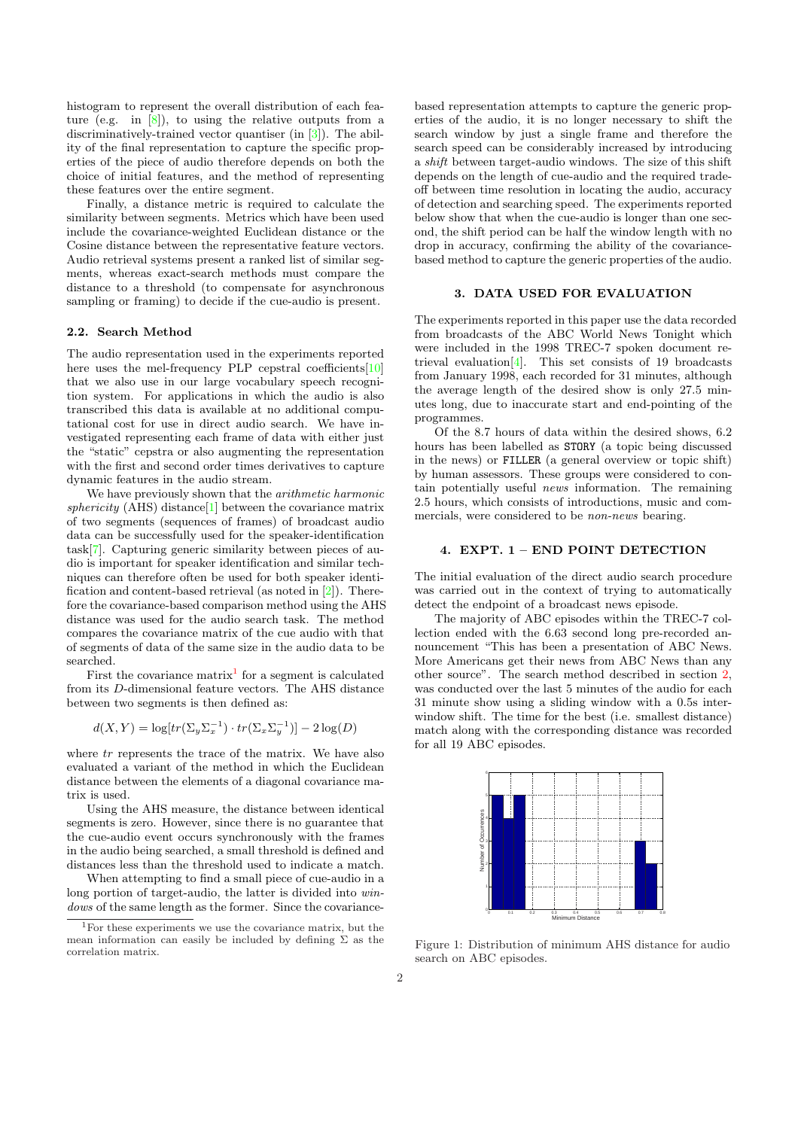<span id="page-1-0"></span>histogram to represent the overall distribution of each feature (e.g. in [8]), to using the relative outputs from a discriminatively-trained vector quantiser (in [3]). The ability of the final representation to capture the specific properties of the piece of audio therefore depends on both the choice of initial features, and the method of representing these features [ove](#page-3-0)r the entire segment.

Finally, a distance metric is required to [c](#page-3-0)alculate the similarity between segments. Metrics which have been used include the covariance-weighted Euclidean distance or the Cosine distance between the representative feature vectors. Audio retrieval systems present a ranked list of similar segments, whereas exact-search methods must compare the distance to a threshold (to compensate for asynchronous sampling or framing) to decide if the cue-audio is present.

## 2.2. Search Method

The audio representation used in the experiments reported here uses the mel-frequency PLP cepstral coefficients[10] that we also use in our large vocabulary speech recognition system. For applications in which the audio is also transcribed this data is available at no additional computational cost for use in direct audio search. We have investigated representing each frame of data with either j[ust](#page-3-0) the "static" cepstra or also augmenting the representation with the first and second order times derivatives to capture dynamic features in the audio stream.

We have previously shown that the *arithmetic harmonic* sphericity (AHS) distance  $[1]$  between the covariance matrix of two segments (sequences of frames) of broadcast audio data can be successfully used for the speaker-identification task[7]. Capturing generic similarity between pieces of audio is important for speaker identification and similar techniques can therefore often [b](#page-3-0)e used for both speaker identification and content-based retrieval (as noted in [2]). Therefore the covariance-based comparison method using the AHS dist[anc](#page-3-0)e was used for the audio search task. The method compares the covariance matrix of the cue audio with that of segments of data of the same size in the audi[o d](#page-3-0)ata to be searched.

First the covariance  $matrix<sup>1</sup>$  for a segment is calculated from its D-dimensional feature vectors. The AHS distance between two segments is then defined as:

$$
d(X,Y) = \log[tr(\Sigma_y \Sigma_x^{-1}) \cdot tr(\Sigma_x \Sigma_y^{-1})] - 2\log(D)
$$

where  $tr$  represents the trace of the matrix. We have also evaluated a variant of the method in which the Euclidean distance between the elements of a diagonal covariance matrix is used.

Using the AHS measure, the distance between identical segments is zero. However, since there is no guarantee that the cue-audio event occurs synchronously with the frames in the audio being searched, a small threshold is defined and distances less than the threshold used to indicate a match.

When attempting to find a small piece of cue-audio in a long portion of target-audio, the latter is divided into windows of the same length as the former. Since the covariancebased representation attempts to capture the generic properties of the audio, it is no longer necessary to shift the search window by just a single frame and therefore the search speed can be considerably increased by introducing a shift between target-audio windows. The size of this shift depends on the length of cue-audio and the required tradeoff between time resolution in locating the audio, accuracy of detection and searching speed. The experiments reported below show that when the cue-audio is longer than one second, the shift period can be half the window length with no drop in accuracy, confirming the ability of the covariancebased method to capture the generic properties of the audio.

#### 3. DATA USED FOR EVALUATION

The experiments reported in this paper use the data recorded from broadcasts of the ABC World News Tonight which were included in the 1998 TREC-7 spoken document retrieval evaluation[4]. This set consists of 19 broadcasts from January 1998, each recorded for 31 minutes, although the average length of the desired show is only 27.5 minutes long, due to inaccurate start and end-pointing of the programmes.

Of the 8.7 ho[urs](#page-3-0) of data within the desired shows, 6.2 hours has been labelled as STORY (a topic being discussed in the news) or FILLER (a general overview or topic shift) by human assessors. These groups were considered to contain potentially useful news information. The remaining 2.5 hours, which consists of introductions, music and commercials, were considered to be non-news bearing.

## 4. EXPT. 1 – END POINT DETECTION

The initial evaluation of the direct audio search procedure was carried out in the context of trying to automatically detect the endpoint of a broadcast news episode.

The majority of ABC episodes within the TREC-7 collection ended with the 6.63 second long pre-recorded announcement "This has been a presentation of ABC News. More Americans get their news from ABC News than any other source". The search method described in section 2, was conducted over the last 5 minutes of the audio for each 31 minute show using a sliding window with a 0.5s interwindow shift. The time for the best (i.e. smallest distance) match along with the corresponding distance was record[ed](#page-0-0) for all 19 ABC episodes.



Figure 1: Distribution of minimum AHS distance for audio search on ABC episodes.

<sup>1</sup>For these experiments we use the covariance matrix, but the mean information can easily be included by defining  $\Sigma$  as the correlation matrix.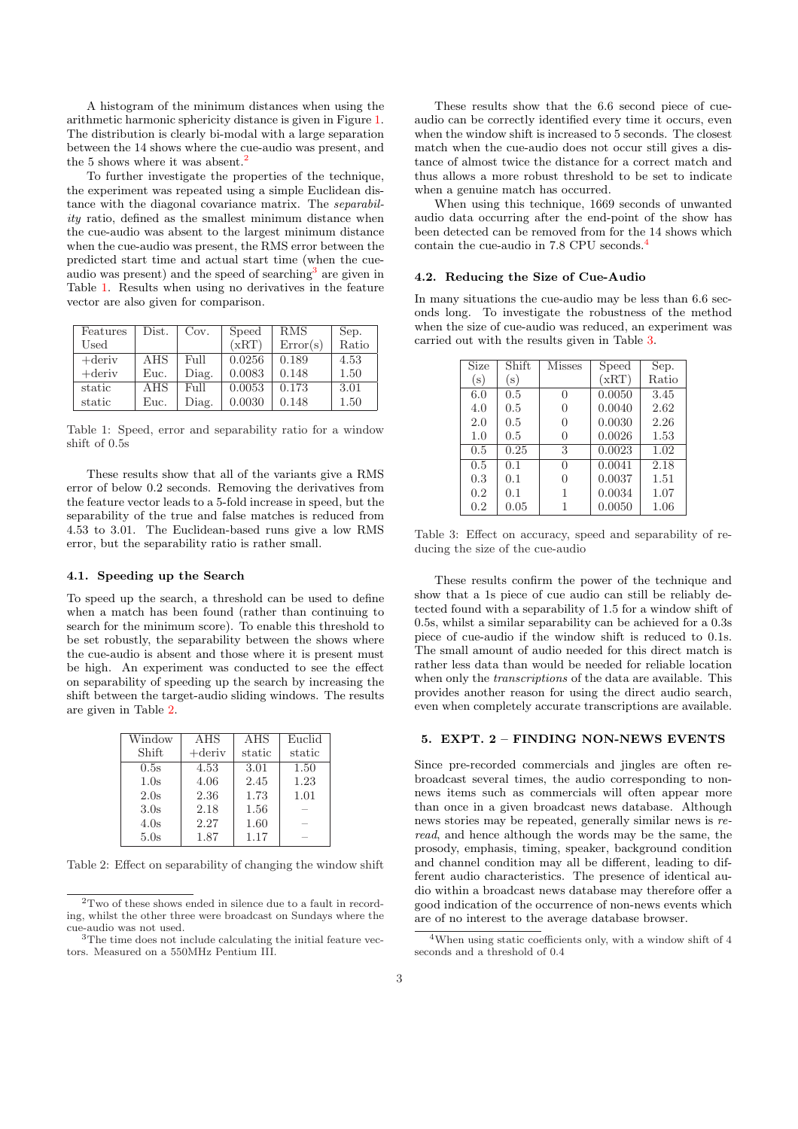A histogram of the minimum distances when using the arithmetic harmonic sphericity distance is given in Figure 1. The distribution is clearly bi-modal with a large separation between the 14 shows where the cue-audio was present, and the 5 shows where it was absent.<sup>2</sup>

To further investigate the properties of the technique, the experiment was repeated using a simple Euclidean d[is](#page-1-0)tance with the diagonal covariance matrix. The separability ratio, defined as the smallest minimum distance when the cue-audio was absent to the largest minimum distance when the cue-audio was present, the RMS error between the predicted start time and actual start time (when the cueaudio was present) and the speed of searching<sup>3</sup> are given in Table 1. Results when using no derivatives in the feature vector are also given for comparison.

| Features  | Dist. | Cov.  | Speed  | <b>RMS</b> | Sep.  |
|-----------|-------|-------|--------|------------|-------|
| Used      |       |       | (xRT)  | Error(s)   | Ratio |
| $+$ deriv | AHS   | Full  | 0.0256 | 0.189      | 4.53  |
| $+$ deriv | Euc.  | Diag. | 0.0083 | 0.148      | 1.50  |
| static    | AHS   | Full  | 0.0053 | 0.173      | 3.01  |
| static    | Euc.  | Diag. | 0.0030 | 0.148      | 1.50  |

Table 1: Speed, error and separability ratio for a window shift of 0.5s

These results show that all of the variants give a RMS error of below 0.2 seconds. Removing the derivatives from the feature vector leads to a 5-fold increase in speed, but the separability of the true and false matches is reduced from 4.53 to 3.01. The Euclidean-based runs give a low RMS error, but the separability ratio is rather small.

#### 4.1. Speeding up the Search

To speed up the search, a threshold can be used to define when a match has been found (rather than continuing to search for the minimum score). To enable this threshold to be set robustly, the separability between the shows where the cue-audio is absent and those where it is present must be high. An experiment was conducted to see the effect on separability of speeding up the search by increasing the shift between the target-audio sliding windows. The results are given in Table 2.

| Window | AHS       | AHS    | Euclid |
|--------|-----------|--------|--------|
| Shift  | $+$ deriv | static | static |
| 0.5s   | 4.53      | 3.01   | 1.50   |
| 1.0s   | 4.06      | 2.45   | 1.23   |
| 2.0s   | 2.36      | 1.73   | 1.01   |
| 3.0s   | 2.18      | 1.56   |        |
| 4.0s   | 2.27      | 1.60   |        |
| 5.0s   | 1.87      | 1.17   |        |

Table 2: Effect on separability of changing the window shift

These results show that the 6.6 second piece of cueaudio can be correctly identified every time it occurs, even when the window shift is increased to 5 seconds. The closest match when the cue-audio does not occur still gives a distance of almost twice the distance for a correct match and thus allows a more robust threshold to be set to indicate when a genuine match has occurred.

When using this technique, 1669 seconds of unwanted audio data occurring after the end-point of the show has been detected can be removed from for the 14 shows which contain the cue-audio in 7.8 CPU seconds.<sup>4</sup>

### 4.2. Reducing the Size of Cue-Audio

In many situations the cue-audio may be less than 6.6 seconds long. To investigate the robustness of the method when the size of cue-audio was reduced, an experiment was carried out with the results given in Table 3.

| <b>Size</b> | Shift     | <b>Misses</b> | Speed  | Sep.  |
|-------------|-----------|---------------|--------|-------|
| (s)         | $(\rm s)$ |               | (xRT)  | Ratio |
| 6.0         | 0.5       | 0             | 0.0050 | 3.45  |
| 4.0         | 0.5       | 0             | 0.0040 | 2.62  |
| 2.0         | 0.5       | 0             | 0.0030 | 2.26  |
| 1.0         | 0.5       | 0             | 0.0026 | 1.53  |
| 0.5         | 0.25      | 3             | 0.0023 | 1.02  |
| 0.5         | 0.1       | $\Omega$      | 0.0041 | 2.18  |
| 0.3         | 0.1       | 0             | 0.0037 | 1.51  |
| 0.2         | 0.1       | 1             | 0.0034 | 1.07  |
| 0.2         | 0.05      | 1             | 0.0050 | 1.06  |

Table 3: Effect on accuracy, speed and separability of reducing the size of the cue-audio

These results confirm the power of the technique and show that a 1s piece of cue audio can still be reliably detected found with a separability of 1.5 for a window shift of 0.5s, whilst a similar separability can be achieved for a 0.3s piece of cue-audio if the window shift is reduced to 0.1s. The small amount of audio needed for this direct match is rather less data than would be needed for reliable location when only the *transcriptions* of the data are available. This provides another reason for using the direct audio search, even when completely accurate transcriptions are available.

#### 5. EXPT. 2 – FINDING NON-NEWS EVENTS

Since pre-recorded commercials and jingles are often rebroadcast several times, the audio corresponding to nonnews items such as commercials will often appear more than once in a given broadcast news database. Although news stories may be repeated, generally similar news is reread, and hence although the words may be the same, the prosody, emphasis, timing, speaker, background condition and channel condition may all be different, leading to different audio characteristics. The presence of identical audio within a broadcast news database may therefore offer a good indication of the occurrence of non-news events which are of no interest to the average database browser.

<sup>2</sup>Two of these shows ended in silence due to a fault in recording, whilst the other three were broadcast on Sundays where the cue-audio was not used.

<sup>&</sup>lt;sup>3</sup>The time does not include calculating the initial feature vectors. Measured on a 550MHz Pentium III.

<sup>&</sup>lt;sup>4</sup>When using static coefficients only, with a window shift of 4 seconds and a threshold of 0.4